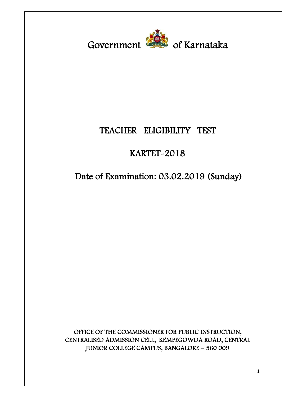Government **Covers** of Karnataka

## **TEACHER ELIGIBILITY TEST**

# **KARTET-2018**

**Date of Examination: 03.02.2019 (Sunday)** 

**OFFICE OF THE COMMISSIONER FOR PUBLIC INSTRUCTION, CENTRALISED ADMISSION CELL, KEMPEGOWDA ROAD, CENTRAL JUNIOR COLLEGE CAMPUS, BANGALORE – 560 009**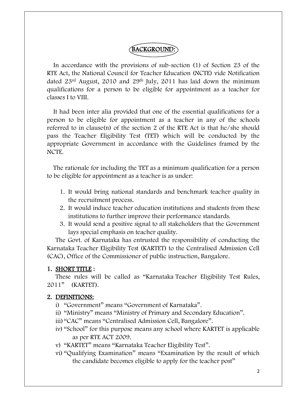## **BACKGROUND:**

In accordance with the provisions of sub-section (1) of Section 23 of the RTE Act, the National Council for Teacher Education (NCTE) vide Notification dated  $23<sup>rd</sup>$  August, 2010 and  $29<sup>th</sup>$  July, 2011 has laid down the minimum qualifications for a person to be eligible for appointment as a teacher for classes I to VIII.

It had been inter alia provided that one of the essential qualifications for a person to be eligible for appointment as a teacher in any of the schools referred to in clause(n) of the section 2 of the RTE Act is that he/she should pass the Teacher Eligibility Test (TET) which will be conducted by the appropriate Government in accordance with the Guidelines framed by the NCTE.

The rationale for including the TET as a minimum qualification for a person to be eligible for appointment as a teacher is as under:

- 1. It would bring national standards and benchmark teacher quality in the recruitment process.
- 2. It would induce teacher education institutions and students from these institutions to further improve their performance standards.
- 3. It would send a positive signal to all stakeholders that the Government lays special emphasis on teacher quality.

The Govt. of Karnataka has entrusted the responsibility of conducting the Karnataka Teacher Eligibility Test (KARTET) to the Centralised Admission Cell (CAC), Office of the Commissioner of public instruction, Bangalore.

#### **1. SHORT TITLE :**

These rules will be called as "Karnataka Teacher Eligibility Test Rules, 2011" (KARTET).

#### **2. DEFINITIONS:**

- i) "Government" means "Government of Karnataka".
- ii) "Ministry" means "Ministry of Primary and Secondary Education".
- iii)"CAC" means "Centralised Admission Cell, Bangalore".
- iv) "School" for this purpose means any school where KARTET is applicable as per RTE ACT 2009.
- v) "KARTET" means "Karnataka Teacher Eligibility Test".
- vi) "Qualifying Examination" means "Examination by the result of which the candidate becomes eligible to apply for the teacher post"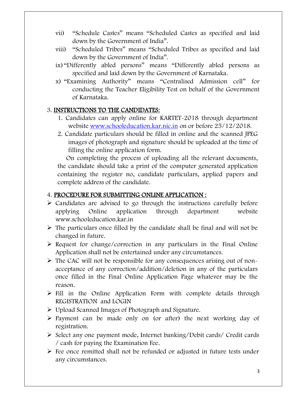- vii) "Schedule Castes" means "Scheduled Castes as specified and laid down by the Government of India".
- viii) "Scheduled Tribes" means "Scheduled Tribes as specified and laid down by the Government of India".
- ix) "Differently abled persons" means "Differently abled persons as specified and laid down by the Government of Karnataka.
- x) "Examining Authority" means "Centralised Admission cell" for conducting the Teacher Eligibility Test on behalf of the Government of Karnataka.

#### 3. **INSTRUCTIONS TO THE CANDIDATES:**

- 1. Candidates can apply online for KARTET-2018 through department website [www.schooleducation.kar.nic.in](http://www.schooleducation.kar.nic.in) on or before 25/12/2018.
- 2. Candidate particulars should be filled in online and the scanned JPEG images of photograph and signature should be uploaded at the time of filling the online application form.

On completing the process of uploading all the relevant documents, the candidate should take a print of the computer generated application containing the register no, candidate particulars, applied papers and complete address of the candidate.

#### 4. **PROCEDURE FOR SUBMITTING ONLINE APPLICATION :**

- $\triangleright$  Candidates are advised to go through the instructions carefully before applying Online application through department website [www.schooleducation.kar.in](http://www.schooleducation.kar.in)
- $\triangleright$  The particulars once filled by the candidate shall be final and will not be changed in future.
- $\triangleright$  Request for change/correction in any particulars in the Final Online Application shall not be entertained under any circumstances.
- $\triangleright$  The CAC will not be responsible for any consequences arising out of nonacceptance of any correction/addition/deletion in any of the particulars once filled in the Final Online Application Page whatever may be the reason.
- $\triangleright$  Fill in the Online Application Form with complete details through REGISTRATION and LOGIN
- Upload Scanned Images of Photograph and Signature.
- $\triangleright$  Payment can be made only on (or after) the next working day of registration.
- Select any one payment mode, Internet banking/Debit cards/ Credit cards / cash for paying the Examination Fee.
- $\triangleright$  Fee once remitted shall not be refunded or adjusted in future tests under any circumstances.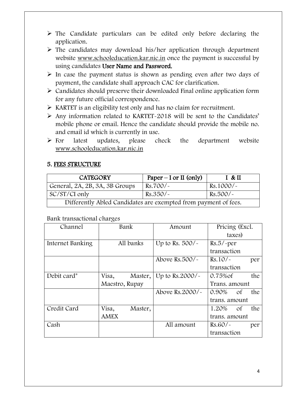- $\triangleright$  The Candidate particulars can be edited only before declaring the application.
- $\triangleright$  The candidates may download his/her application through department website [www.schooleducation.kar.nic.in](http://www.schooleducation.kar.nic.in) once the payment is successful by using candidates **User Name and Password.**
- $\triangleright$  In case the payment status is shown as pending even after two days of payment, the candidate shall approach CAC for clarification.
- $\triangleright$  Candidates should preserve their downloaded Final online application form for any future official correspondence.
- KARTET is an eligibility test only and has no claim for recruitment.
- $\triangleright$  Any information related to KARTET-2018 will be sent to the Candidates' mobile phone or email. Hence the candidate should provide the mobile no. and email id which is currently in use.
- $\triangleright$  For latest updates, please check the department website [www.schooleducation.kar.nic.in](http://www.schooleducation.kar.nic.in)

## **5. FEES STRUCTURE**

| <b>CATEGORY</b>                                                 | Paper – I or II (only) | I & H       |
|-----------------------------------------------------------------|------------------------|-------------|
| General, 2A, 2B, 3A, 3B Groups                                  | $Rs.700/-$             | $Rs.1000/-$ |
| SC/ST/CI only                                                   | $RS.350/-$             | $Rs.500/-$  |
| Differently Abled Candidates are exempted from payment of fees. |                        |             |

#### Bank transactional charges

| Channel          | Bank             | Amount                    | Pricing (Excl.        |
|------------------|------------------|---------------------------|-----------------------|
|                  |                  |                           | taxes)                |
| Internet Banking | All banks        | Up to Rs. $500/-$         | $Rs.5/-per$           |
|                  |                  |                           | transaction           |
|                  |                  | Above Rs. $500/-$         | $Rs.10/-$<br>per      |
|                  |                  |                           | transaction           |
| Debit card*      | Visa,<br>Master, | Up to Rs.2000/ $\sim$     | the<br>$0.75%$ of     |
|                  | Maestro, Rupay   |                           | Trans. amount         |
|                  |                  | Above Rs. $2000$ / $\sim$ | $0.90\%$<br>the<br>0f |
|                  |                  |                           | trans. amount         |
| Credit Card      | Visa,<br>Master, |                           | 1.20%<br>the<br>0f    |
|                  | <b>AMEX</b>      |                           | trans. amount         |
| Cash             |                  | All amount                | Rs.60/<br>per         |
|                  |                  |                           | transaction           |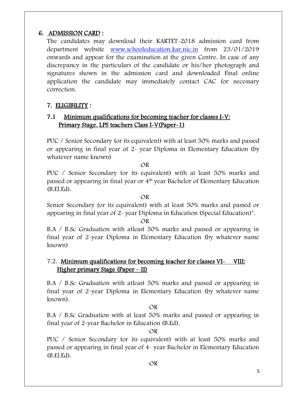## **6. ADMISSION CARD :**

The candidates may download their KARTET-2018 admission card from department website [www.schooleducation.kar.nic.in](http://www.schooleducation.kar.nic.in) from 23/01/2019 onwards and appear for the examination at the given Centre. In case of any discrepancy in the particulars of the candidate or his/her photograph and signatures shown in the admission card and downloaded Final online application the candidate may immediately contact CAC for necessary correction.

## **7. ELIGIBILITY :**

## **7.1 Minimum qualifications for becoming teacher for classes I-V: Primary Stage. LPS teachers Class I-V(Paper-1)**

PUC / Senior Secondary (or its equivalent) with at least 50% marks and passed or appearing in final year of 2- year Diploma in Elementary Education (by whatever name known)

#### OR

PUC / Senior Secondary (or its equivalent) with at least 50% marks and passed or appearing in final year or 4th year Bachelor of Elementary Education (B.El.Ed).

OR

Senior Secondary (or its equivalent) with at least 50% marks and passed or appearing in final year of 2- year Diploma in Education (Special Education)\*.

OR

B.A / B.Sc Graduation with atleast 50% marks and passed or appearing in final year of 2-year Diploma in Elementary Education (by whatever name known)

## 7.2. **Minimum qualifications for becoming teacher for classes VI- VIII: Higher primary Stage (Paper – II)**

B.A / B.Sc Graduation with atleast 50% marks and passed or appearing in final year of 2-year Diploma in Elementary Education (by whatever name known).

#### OR

B.A / B.Sc Graduation with at least 50% marks and passed or appearing in final year of 2-year Bachelor in Education (B.Ed).

#### OR

PUC / Senior Secondary (or its equivalent) with at least 50% marks and passed or appearing in final year of 4- year Bachelor in Elementary Education (B.El.Ed).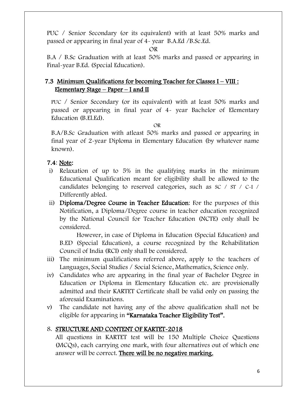PUC / Senior Secondary (or its equivalent) with at least 50% marks and passed or appearing in final year of 4- year B.A.Ed /B.Sc.Ed.

#### OR

B.A / B.Sc Graduation with at least 50% marks and passed or appearing in Final-year B.Ed. (Special Education).

## **7.3 Minimum Qualifications for becoming Teacher for Classes I – VIII : Elementary Stage – Paper – I and II**

PUC / Senior Secondary (or its equivalent) with at least 50% marks and passed or appearing in final year of 4- year Bachelor of Elementary Education (B.El.Ed).

OR

B.A/B.Sc Graduation with atleast 50% marks and passed or appearing in final year of 2-year Diploma in Elementary Education (by whatever name known).

#### **7.4**: **Note:**

- i) Relaxation of up to 5% in the qualifying marks in the minimum Educational Qualification meant for eligibility shall be allowed to the candidates belonging to reserved categories, such as SC / ST / C-I / Differently abled.
- ii) **Diploma/Degree Course in Teacher Education**: For the purposes of this Notification, a Diploma/Degree course in teacher education recognized by the National Council for Teacher Education (NCTE) only shall be considered.

However, in case of Diploma in Education (Special Education) and B.ED (Special Education), a course recognized by the Rehabilitation Council of India (RCI) only shall be considered.

- iii) The minimum qualifications referred above, apply to the teachers of Languages, Social Studies / Social Science, Mathematics, Science only.
- iv) Candidates who are appearing in the final year of Bachelor Degree in Education or Diploma in Elementary Education etc. are provisionally admitted and their KARTET Certificate shall be valid only on passing the aforesaid Examinations.
- v) The candidate not having any of the above qualification shall not be eligible for appearing in **"Karnataka Teacher Eligibility Test".**

## 8. **STRUCTURE AND CONTENT OF KARTET-2018**

All questions in KARTET test will be 150 Multiple Choice Questions (MCQs), each carrying one mark, with four alternatives out of which one answer will be correct. **There will be no negative marking.**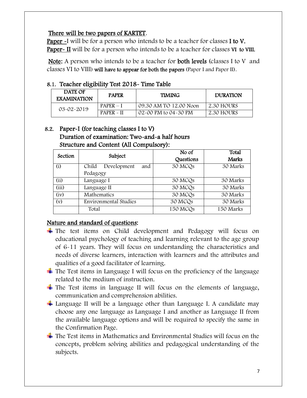## **There will be two papers of KARTET**.

**Paper -**I will be for a person who intends to be a teacher for classes **I to V. Paper- II** will be for a person who intends to be a teacher for classes **VI to VIII.** 

**Note:** A person who intends to be a teacher for **both levels** (classes I to V and classes VI to VIII) **will have to appear for both the papers** (Paper I and Paper II).

#### **8.1. Teacher eligibility Test 2018- Time Table**

| DATE OF<br><b>EXAMINATION</b> | <b>PAPER</b> | <b>TIMING</b>          | <b>DURATION</b> |
|-------------------------------|--------------|------------------------|-----------------|
| $03 - 02 - 2019$              | $PAPER - I$  | 09.30 AM TO 12.00 Noon | 2.30 HOURS      |
|                               | $PAPER - II$ | 02-00 PM to 04-30 PM   | 2.30 HOURS      |

#### **8.2. Paper-I (for teaching classes I to V) Duration of examination: Two-and-a half hours Structure and Content (All Compulsory):**

| Section | Subject                      | No of               | Total     |
|---------|------------------------------|---------------------|-----------|
|         |                              | Questions           | Marks     |
| (i)     | Development<br>Child<br>and  | 30 MCQs             | 30 Marks  |
|         | Pedagogy                     |                     |           |
| (ii)    | Language I                   | 30 MCQ <sub>s</sub> | 30 Marks  |
| (iii)   | Language II                  | 30 MCQs             | 30 Marks  |
| (iv)    | Mathematics                  | 30 MCQs             | 30 Marks  |
| (v)     | <b>Environmental Studies</b> | 30 MCQs             | 30 Marks  |
|         | Total                        | 150 MCQs            | 150 Marks |

## **Nature and standard of questions:**

- $\pm$  The test items on Child development and Pedagogy will focus on educational psychology of teaching and learning relevant to the age group of 6-11 years. They will focus on understanding the characteristics and needs of diverse learners, interaction with learners and the attributes and qualities of a good facilitator of learning.
- $\pm$  The Test items in Language I will focus on the proficiency of the language related to the medium of instruction.
- $\pm$  The Test items in language II will focus on the elements of language, communication and comprehension abilities.
- $\pm$  Language II will be a language other than Language I. A candidate may choose any one language as Language I and another as Language II from the available language options and will be required to specify the same in the Confirmation Page.
- $\pm$  The Test items in Mathematics and Environmental Studies will focus on the concepts, problem solving abilities and pedagogical understanding of the subjects.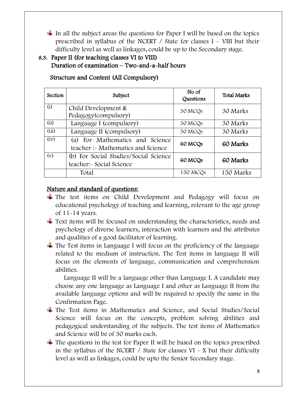In all the subject areas the questions for Paper I will be based on the topics prescribed in syllabus of the NCERT / State for classes  $I - VIII$  but their difficulty level as well as linkages, could be up to the Secondary stage.

## **8.3. Paper II (for teaching classes VI to VIII) Duration of examination – Two-and-a-half hours**

| Section | Subject                                                               | No of<br>Questions  | <b>Total Marks</b> |
|---------|-----------------------------------------------------------------------|---------------------|--------------------|
| (i)     | Child Development &<br>Pedagogy(compulsory)                           | 30 MCQ <sub>s</sub> | 30 Marks           |
| (ii)    | Language I (compulsory)                                               | 30 MCQ <sub>s</sub> | 30 Marks           |
| (iii)   | Language II (compulsory)                                              | 30 MCQs             | 30 Marks           |
| (iv)    | (a) For Mathematics and Science<br>teacher :- Mathematics and Science | 60 MCQ <sub>s</sub> | 60 Marks           |
| (v)     | (b) For Social Studies/Social Science<br>teacher: Social Science      | 60 MCQ <sub>s</sub> | 60 Marks           |
|         | Total                                                                 | 150 MCQs            | 150 Marks          |

 **Structure and Content (All Compulsory)** 

## **Nature and standard of questions:**

- The test items on Child Development and Pedagogy will focus on educational psychology of teaching and learning, relevant to the age group of 11-14 years.
- $\pm$  Text items will be focused on understanding the characteristics, needs and psychology of diverse learners, interaction with learners and the attributes and qualities of a good facilitator of learning.
- $\pm$  The Test items in Language I will focus on the proficiency of the language related to the medium of instruction. The Test items in language II will focus on the elements of language, communication and comprehension abilities.

Language II will be a language other than Language I. A candidate may choose any one language as Language I and other as Language II from the available language options and will be required to specify the same in the Confirmation Page.

- $\pm$  The Test items in Mathematics and Science, and Social Studies/Social Science will focus on the concepts, problem solving abilities and pedagogical understanding of the subjects. The test items of Mathematics and Science will be of 30 marks each.
- $\pm$  The questions in the test for Paper II will be based on the topics prescribed in the syllabus of the NCERT / State for classes VI - X but their difficulty level as well as linkages, could be upto the Senior Secondary stage.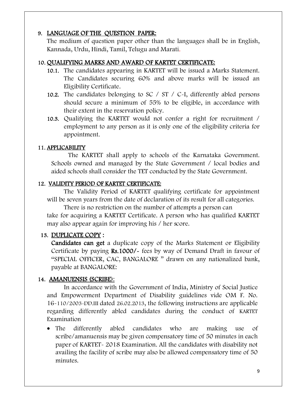## **9. LANGUAGE OF THE QUESTION PAPER:**

The medium of question paper other than the languages shall be in English, Kannada, Urdu, Hindi, Tamil, Telugu and Marati.

#### **10. QUALIFYING MARKS AND AWARD OF KARTET CERTIFICATE:**

- **10.1.** The candidates appearing in KARTET will be issued a Marks Statement. The Candidates securing 60% and above marks will be issued an Eligibility Certificate.
- **10.2.** The candidates belonging to SC / ST / C-I, differently abled persons should secure a minimum of 55% to be eligible, in accordance with their extent in the reservation policy.
- **10.3.** Qualifying the KARTET would not confer a right for recruitment / employment to any person as it is only one of the eligibility criteria for appointment.

#### **11. APPLICABILITY**

The KARTET shall apply to schools of the Karnataka Government. Schools owned and managed by the State Government / local bodies and aided schools shall consider the TET conducted by the State Government.

#### **12. VALIDITY PERIOD OF KARTET CERTIFICATE:**

The Validity Period of KARTET qualifying certificate for appointment will be seven years from the date of declaration of its result for all categories.

There is no restriction on the number of attempts a person can take for acquiring a KARTET Certificate. A person who has qualified KARTET may also appear again for improving his / her score.

#### **13. DUPLICATE COPY :**

**Candidates can get** a duplicate copy of the Marks Statement or Eligibility Certificate by paying **Rs.1000/-** fees by way of Demand Draft in favour of "SPECIAL OFFICER, CAC, BANGALORE " drawn on any nationalized bank, payable at BANGALORE:

#### **14. AMANUENSIS (SCRIBE**):

In accordance with the Government of India, Ministry of Social Justice and Empowerment Department of Disability guidelines vide OM F. No. 16-110/2003-DD.III dated 26.02.2013, the following instructions are applicable regarding differently abled candidates during the conduct of KARTET Examination

 The differently abled candidates who are making use of scribe/amanuensis may be given compensatory time of 50 minutes in each paper of KARTET- 2018 Examination. All the candidates with disability not availing the facility of scribe may also be allowed compensatory time of 50 minutes.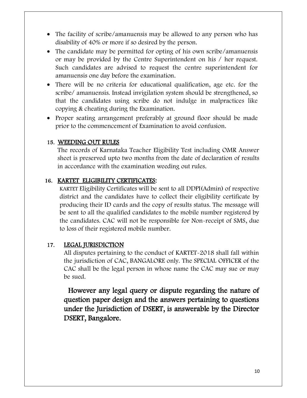- The facility of scribe/amanuensis may be allowed to any person who has disability of 40% or more if so desired by the person.
- The candidate may be permitted for opting of his own scribe/amanuensis or may be provided by the Centre Superintendent on his / her request. Such candidates are advised to request the centre superintendent for amanuensis one day before the examination.
- There will be no criteria for educational qualification, age etc. for the scribe/ amanuensis. Instead invigilation system should be strengthened, so that the candidates using scribe do not indulge in malpractices like copying & cheating during the Examination.
- Proper seating arrangement preferably at ground floor should be made prior to the commencement of Examination to avoid confusion.

#### **15. WEEDING OUT RULES**

The records of Karnataka Teacher Eligibility Test including OMR Answer sheet is preserved upto two months from the date of declaration of results in accordance with the examination weeding out rules.

#### **16. KARTET ELIGIBILITY CERTIFICATES:**

KARTET Eligibility Certificates will be sent to all DDPI(Admin) of respective district and the candidates have to collect their eligibility certificate by producing their ID cards and the copy of results status. The message will be sent to all the qualified candidates to the mobile number registered by the candidates. CAC will not be responsible for Non-receipt of SMS, due to loss of their registered mobile number.

#### **17. LEGAL JURISDICTION**

All disputes pertaining to the conduct of KARTET-2018 shall fall within the jurisdiction of CAC, BANGALORE only. The SPECIAL OFFICER of the CAC shall be the legal person in whose name the CAC may sue or may be sued.

**However any legal query or dispute regarding the nature of question paper design and the answers pertaining to questions under the Jurisdiction of DSERT, is answerable by the Director DSERT, Bangalore.**